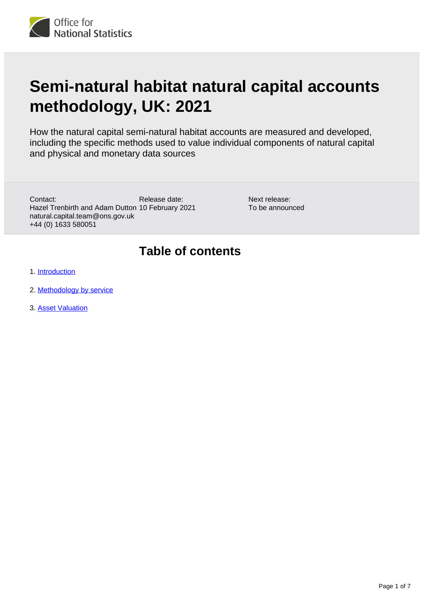

# **Semi-natural habitat natural capital accounts methodology, UK: 2021**

How the natural capital semi-natural habitat accounts are measured and developed, including the specific methods used to value individual components of natural capital and physical and monetary data sources

Release date: Hazel Trenbirth and Adam Dutton 10 February 2021 Contact: natural.capital.team@ons.gov.uk +44 (0) 1633 580051

Next release: To be announced

### **Table of contents**

- 1. [Introduction](#page-1-0)
- 2. [Methodology by service](#page-1-1)
- 3. [Asset Valuation](#page-6-0)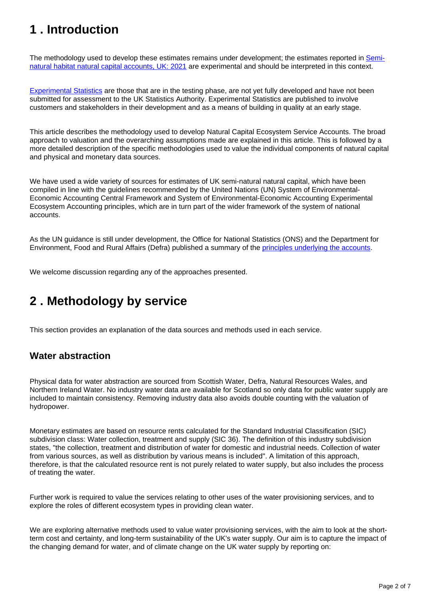## <span id="page-1-0"></span>**1 . Introduction**

The methodology used to develop these estimates remains under development; the estimates reported in [Semi](https://www.ons.gov.uk/economy/environmentalaccounts/bulletins/seminaturalhabitatnaturalcapitalaccountsuk/2021)[natural habitat natural capital accounts, UK: 2021](https://www.ons.gov.uk/economy/environmentalaccounts/bulletins/seminaturalhabitatnaturalcapitalaccountsuk/2021) are experimental and should be interpreted in this context.

[Experimental Statistics](https://www.ons.gov.uk/methodology/methodologytopicsandstatisticalconcepts/guidetoexperimentalstatistics) are those that are in the testing phase, are not yet fully developed and have not been submitted for assessment to the UK Statistics Authority. Experimental Statistics are published to involve customers and stakeholders in their development and as a means of building in quality at an early stage.

This article describes the methodology used to develop Natural Capital Ecosystem Service Accounts. The broad approach to valuation and the overarching assumptions made are explained in this article. This is followed by a more detailed description of the specific methodologies used to value the individual components of natural capital and physical and monetary data sources.

We have used a wide variety of sources for estimates of UK semi-natural natural capital, which have been compiled in line with the guidelines recommended by the United Nations (UN) System of Environmental-Economic Accounting Central Framework and System of Environmental-Economic Accounting Experimental Ecosystem Accounting principles, which are in turn part of the wider framework of the system of national accounts.

As the UN guidance is still under development, the Office for National Statistics (ONS) and the Department for Environment, Food and Rural Affairs (Defra) published a summary of the [principles underlying the accounts](https://www.ons.gov.uk/economy/environmentalaccounts/methodologies/principlesofnaturalcapitalaccounting).

We welcome discussion regarding any of the approaches presented.

## <span id="page-1-1"></span>**2 . Methodology by service**

This section provides an explanation of the data sources and methods used in each service.

#### **Water abstraction**

Physical data for water abstraction are sourced from Scottish Water, Defra, Natural Resources Wales, and Northern Ireland Water. No industry water data are available for Scotland so only data for public water supply are included to maintain consistency. Removing industry data also avoids double counting with the valuation of hydropower.

Monetary estimates are based on resource rents calculated for the Standard Industrial Classification (SIC) subdivision class: Water collection, treatment and supply (SIC 36). The definition of this industry subdivision states, "the collection, treatment and distribution of water for domestic and industrial needs. Collection of water from various sources, as well as distribution by various means is included". A limitation of this approach, therefore, is that the calculated resource rent is not purely related to water supply, but also includes the process of treating the water.

Further work is required to value the services relating to other uses of the water provisioning services, and to explore the roles of different ecosystem types in providing clean water.

We are exploring alternative methods used to value water provisioning services, with the aim to look at the shortterm cost and certainty, and long-term sustainability of the UK's water supply. Our aim is to capture the impact of the changing demand for water, and of climate change on the UK water supply by reporting on: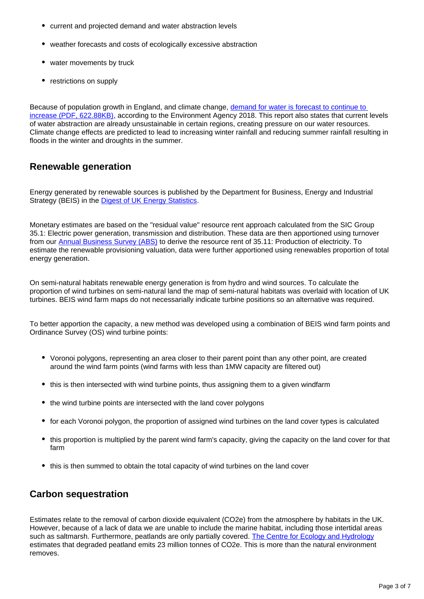- current and projected demand and water abstraction levels
- weather forecasts and costs of ecologically excessive abstraction
- water movements by truck
- restrictions on supply

Because of population growth in England, and climate change, [demand for water is forecast to continue to](https://assets.publishing.service.gov.uk/government/uploads/system/uploads/attachment_data/file/758983/Climate_change_impacts_and_adaptation.pdf)  [increase \(PDF, 622.88KB\),](https://assets.publishing.service.gov.uk/government/uploads/system/uploads/attachment_data/file/758983/Climate_change_impacts_and_adaptation.pdf) according to the Environment Agency 2018. This report also states that current levels of water abstraction are already unsustainable in certain regions, creating pressure on our water resources. Climate change effects are predicted to lead to increasing winter rainfall and reducing summer rainfall resulting in floods in the winter and droughts in the summer.

#### **Renewable generation**

Energy generated by renewable sources is published by the Department for Business, Energy and Industrial Strategy (BEIS) in the [Digest of UK Energy Statistics.](https://www.gov.uk/government/statistics/renewable-sources-of-energy-chapter-6-digest-of-united-kingdom-energy-statistics-dukes)

Monetary estimates are based on the "residual value" resource rent approach calculated from the SIC Group 35.1: Electric power generation, transmission and distribution. These data are then apportioned using turnover from our [Annual Business Survey \(ABS\)](https://www.ons.gov.uk/businessindustryandtrade/business/businessservices/datasets/uknonfinancialbusinesseconomyannualbusinesssurveysectionsas) to derive the resource rent of 35.11: Production of electricity. To estimate the renewable provisioning valuation, data were further apportioned using renewables proportion of total energy generation.

On semi-natural habitats renewable energy generation is from hydro and wind sources. To calculate the proportion of wind turbines on semi-natural land the map of semi-natural habitats was overlaid with location of UK turbines. BEIS wind farm maps do not necessarially indicate turbine positions so an alternative was required.

To better apportion the capacity, a new method was developed using a combination of BEIS wind farm points and Ordinance Survey (OS) wind turbine points:

- Voronoi polygons, representing an area closer to their parent point than any other point, are created around the wind farm points (wind farms with less than 1MW capacity are filtered out)
- this is then intersected with wind turbine points, thus assigning them to a given windfarm
- the wind turbine points are intersected with the land cover polygons
- for each Voronoi polygon, the proportion of assigned wind turbines on the land cover types is calculated
- this proportion is multiplied by the parent wind farm's capacity, giving the capacity on the land cover for that farm
- this is then summed to obtain the total capacity of wind turbines on the land cover

#### **Carbon sequestration**

Estimates relate to the removal of carbon dioxide equivalent (CO2e) from the atmosphere by habitats in the UK. However, because of a lack of data we are unable to include the marine habitat, including those intertidal areas such as saltmarsh. Furthermore, peatlands are only partially covered. [The Centre for Ecology and Hydrology](https://naei.beis.gov.uk/reports/reports?report_id=980) estimates that degraded peatland emits 23 million tonnes of CO2e. This is more than the natural environment removes.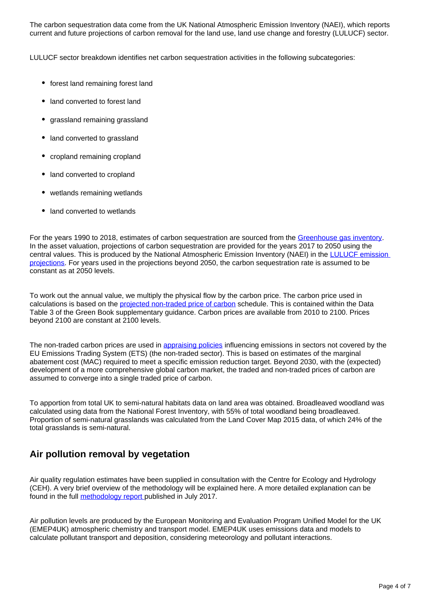The carbon sequestration data come from the UK National Atmospheric Emission Inventory (NAEI), which reports current and future projections of carbon removal for the land use, land use change and forestry (LULUCF) sector.

LULUCF sector breakdown identifies net carbon sequestration activities in the following subcategories:

- forest land remaining forest land
- land converted to forest land
- grassland remaining grassland
- land converted to grassland
- cropland remaining cropland
- land converted to cropland
- wetlands remaining wetlands
- land converted to wetlands

For the years 1990 to 2018, estimates of carbon sequestration are sourced from the [Greenhouse gas inventory.](http://naei.beis.gov.uk/reports/reports?report_id=958) In the asset valuation, projections of carbon sequestration are provided for the years 2017 to 2050 using the central values. This is produced by the National Atmospheric Emission Inventory (NAEI) in the [LULUCF emission](http://naei.beis.gov.uk/reports/reports?report_id=927)  [projections.](http://naei.beis.gov.uk/reports/reports?report_id=927) For years used in the projections beyond 2050, the carbon sequestration rate is assumed to be constant as at 2050 levels.

To work out the annual value, we multiply the physical flow by the carbon price. The carbon price used in calculations is based on the [projected non-traded price of carbon](https://www.gov.uk/government/publications/valuation-of-energy-use-and-greenhouse-gas-emissions-for-appraisal) schedule. This is contained within the Data Table 3 of the Green Book supplementary guidance. Carbon prices are available from 2010 to 2100. Prices beyond 2100 are constant at 2100 levels.

The non-traded carbon prices are used in [appraising policies](https://www.gov.uk/government/publications/carbon-valuation-in-uk-policy-appraisal-a-revised-approach) influencing emissions in sectors not covered by the EU Emissions Trading System (ETS) (the non-traded sector). This is based on estimates of the marginal abatement cost (MAC) required to meet a specific emission reduction target. Beyond 2030, with the (expected) development of a more comprehensive global carbon market, the traded and non-traded prices of carbon are assumed to converge into a single traded price of carbon.

To apportion from total UK to semi-natural habitats data on land area was obtained. Broadleaved woodland was calculated using data from the National Forest Inventory, with 55% of total woodland being broadleaved. Proportion of semi-natural grasslands was calculated from the Land Cover Map 2015 data, of which 24% of the total grasslands is semi-natural.

#### **Air pollution removal by vegetation**

Air quality regulation estimates have been supplied in consultation with the Centre for Ecology and Hydrology (CEH). A very brief overview of the methodology will be explained here. A more detailed explanation can be found in the full [methodology report p](http://nora.nerc.ac.uk/id/eprint/524081/)ublished in July 2017.

Air pollution levels are produced by the European Monitoring and Evaluation Program Unified Model for the UK (EMEP4UK) atmospheric chemistry and transport model. EMEP4UK uses emissions data and models to calculate pollutant transport and deposition, considering meteorology and pollutant interactions.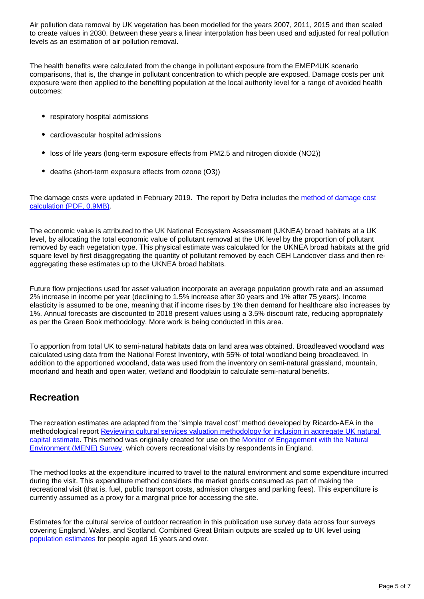Air pollution data removal by UK vegetation has been modelled for the years 2007, 2011, 2015 and then scaled to create values in 2030. Between these years a linear interpolation has been used and adjusted for real pollution levels as an estimation of air pollution removal.

The health benefits were calculated from the change in pollutant exposure from the EMEP4UK scenario comparisons, that is, the change in pollutant concentration to which people are exposed. Damage costs per unit exposure were then applied to the benefiting population at the local authority level for a range of avoided health outcomes:

- respiratory hospital admissions
- cardiovascular hospital admissions
- loss of life years (long-term exposure effects from PM2.5 and nitrogen dioxide (NO2))
- deaths (short-term exposure effects from ozone (O3))

The damage costs were updated in February 2019. The report by Defra includes the method of damage cost [calculation \(PDF, 0.9MB\).](https://uk-air.defra.gov.uk/assets/documents/reports/cat09/1902271109_Damage_cost_update_2018_FINAL_Issue_2_publication.pdf)

The economic value is attributed to the UK National Ecosystem Assessment (UKNEA) broad habitats at a UK level, by allocating the total economic value of pollutant removal at the UK level by the proportion of pollutant removed by each vegetation type. This physical estimate was calculated for the UKNEA broad habitats at the grid square level by first disaggregating the quantity of pollutant removed by each CEH Landcover class and then reaggregating these estimates up to the UKNEA broad habitats.

Future flow projections used for asset valuation incorporate an average population growth rate and an assumed 2% increase in income per year (declining to 1.5% increase after 30 years and 1% after 75 years). Income elasticity is assumed to be one, meaning that if income rises by 1% then demand for healthcare also increases by 1%. Annual forecasts are discounted to 2018 present values using a 3.5% discount rate, reducing appropriately as per the Green Book methodology. More work is being conducted in this area.

To apportion from total UK to semi-natural habitats data on land area was obtained. Broadleaved woodland was calculated using data from the National Forest Inventory, with 55% of total woodland being broadleaved. In addition to the apportioned woodland, data was used from the inventory on semi-natural grassland, mountain, moorland and heath and open water, wetland and floodplain to calculate semi-natural benefits.

#### **Recreation**

The recreation estimates are adapted from the "simple travel cost" method developed by Ricardo-AEA in the methodological report Reviewing cultural services valuation methodology for inclusion in aggregate UK natural [capital estimate.](https://www.ons.gov.uk/economy/environmentalaccounts/methodologies/uknaturalcapitalaccountsmethodologyguideoctober2019) This method was originally created for use on the Monitor of Engagement with the Natural [Environment \(MENE\) Survey](https://www.gov.uk/government/collections/monitor-of-engagement-with-the-natural-environment-survey-purpose-and-results), which covers recreational visits by respondents in England.

The method looks at the expenditure incurred to travel to the natural environment and some expenditure incurred during the visit. This expenditure method considers the market goods consumed as part of making the recreational visit (that is, fuel, public transport costs, admission charges and parking fees). This expenditure is currently assumed as a proxy for a marginal price for accessing the site.

Estimates for the cultural service of outdoor recreation in this publication use survey data across four surveys covering England, Wales, and Scotland. Combined Great Britain outputs are scaled up to UK level using [population estimates](https://www.ons.gov.uk/peoplepopulationandcommunity/populationandmigration/populationestimates/datasets/populationestimatesforukenglandandwalesscotlandandnorthernireland) for people aged 16 years and over.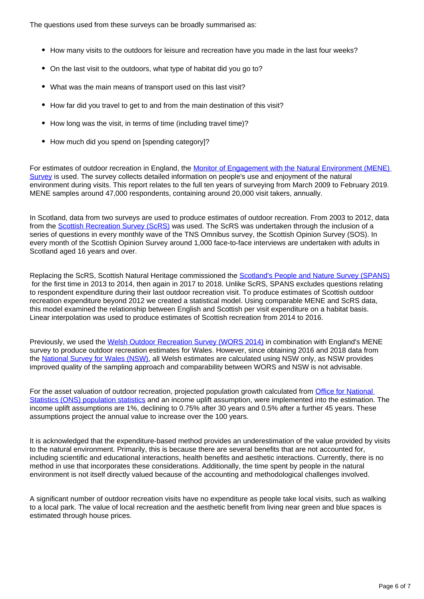The questions used from these surveys can be broadly summarised as:

- How many visits to the outdoors for leisure and recreation have you made in the last four weeks?
- On the last visit to the outdoors, what type of habitat did you go to?
- What was the main means of transport used on this last visit?
- How far did you travel to get to and from the main destination of this visit?
- How long was the visit, in terms of time (including travel time)?
- How much did you spend on [spending category]?

For estimates of outdoor recreation in England, the [Monitor of Engagement with the Natural Environment \(MENE\)](https://www.gov.uk/government/collections/monitor-of-engagement-with-the-natural-environment-survey-purpose-and-results)  [Survey](https://www.gov.uk/government/collections/monitor-of-engagement-with-the-natural-environment-survey-purpose-and-results) is used. The survey collects detailed information on people's use and enjoyment of the natural environment during visits. This report relates to the full ten years of surveying from March 2009 to February 2019. MENE samples around 47,000 respondents, containing around 20,000 visit takers, annually.

In Scotland, data from two surveys are used to produce estimates of outdoor recreation. From 2003 to 2012, data from the [Scottish Recreation Survey \(ScRS\)](https://www.nature.scot/professional-advice/land-and-sea-management/managing-access-and-recreation/increasing-participation/measuring-participation) was used. The ScRS was undertaken through the inclusion of a series of questions in every monthly wave of the TNS Omnibus survey, the Scottish Opinion Survey (SOS). In every month of the Scottish Opinion Survey around 1,000 face-to-face interviews are undertaken with adults in Scotland aged 16 years and over.

Replacing the ScRS, Scottish Natural Heritage commissioned the [Scotland's People and Nature Survey \(SPANS\)](https://www.nature.scot/professional-advice/land-and-sea-management/managing-access-and-recreation/increasing-participation/measuring-participation) for the first time in 2013 to 2014, then again in 2017 to 2018. Unlike ScRS, SPANS excludes questions relating to respondent expenditure during their last outdoor recreation visit. To produce estimates of Scottish outdoor recreation expenditure beyond 2012 we created a statistical model. Using comparable MENE and ScRS data, this model examined the relationship between English and Scottish per visit expenditure on a habitat basis. Linear interpolation was used to produce estimates of Scottish recreation from 2014 to 2016.

Previously, we used the [Welsh Outdoor Recreation Survey \(WORS 2014\)](https://naturalresources.wales/evidence-and-data/research-and-reports/national-survey-for-wales/?lang=en) in combination with England's MENE survey to produce outdoor recreation estimates for Wales. However, since obtaining 2016 and 2018 data from the [National Survey for Wales \(NSW\),](https://naturalresources.wales/evidence-and-data/research-and-reports/national-survey-for-wales/?lang=en) all Welsh estimates are calculated using NSW only, as NSW provides improved quality of the sampling approach and comparability between WORS and NSW is not advisable.

For the asset valuation of outdoor recreation, projected population growth calculated from [Office for National](https://www.ons.gov.uk/peoplepopulationandcommunity/populationandmigration/populationprojections/datasets/tablea11principalprojectionuksummary)  [Statistics \(ONS\) population statistics](https://www.ons.gov.uk/peoplepopulationandcommunity/populationandmigration/populationprojections/datasets/tablea11principalprojectionuksummary) and an income uplift assumption, were implemented into the estimation. The income uplift assumptions are 1%, declining to 0.75% after 30 years and 0.5% after a further 45 years. These assumptions project the annual value to increase over the 100 years.

It is acknowledged that the expenditure-based method provides an underestimation of the value provided by visits to the natural environment. Primarily, this is because there are several benefits that are not accounted for, including scientific and educational interactions, health benefits and aesthetic interactions. Currently, there is no method in use that incorporates these considerations. Additionally, the time spent by people in the natural environment is not itself directly valued because of the accounting and methodological challenges involved.

A significant number of outdoor recreation visits have no expenditure as people take local visits, such as walking to a local park. The value of local recreation and the aesthetic benefit from living near green and blue spaces is estimated through house prices.